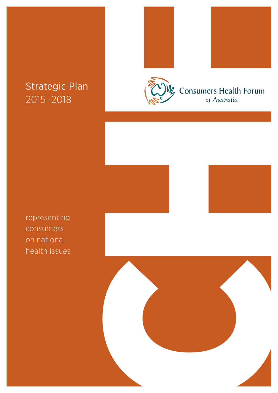## Strategic Plan 2015–2018





representing consumers on national health issues



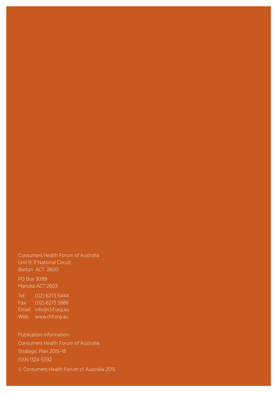#### Consumers Health Forum of Australia Unit 9, 11 National Circuit Barton ACT 2600

PO Box 3099 Manuka ACT 2603

Tel: (02) 6273 5444 Fax: (02) 6273 5888 Email: info@chf.org.au Web: www.chf.org.au

Publication information: Consumers Health Forum of Australia Strategic Plan 2015–18 ISSN 1324-5392 © Consumers Health Forum of Australia 2015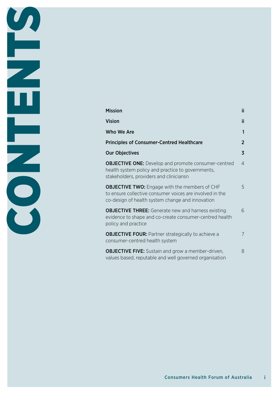| <b>Mission</b>                                                                                                                                                       | ii.            |
|----------------------------------------------------------------------------------------------------------------------------------------------------------------------|----------------|
| <b>Vision</b>                                                                                                                                                        | ii.            |
| Who We Are                                                                                                                                                           | 1              |
| <b>Principles of Consumer-Centred Healthcare</b>                                                                                                                     | $\overline{2}$ |
| <b>Our Objectives</b>                                                                                                                                                | $\overline{3}$ |
| <b>OBJECTIVE ONE:</b> Develop and promote consumer-centred<br>health system policy and practice to governments,<br>stakeholders, providers and cliniciansn           | $\overline{4}$ |
| <b>OBJECTIVE TWO:</b> Engage with the members of CHF<br>to ensure collective consumer voices are involved in the<br>co-design of health system change and innovation | 5              |
| <b>OBJECTIVE THREE:</b> Generate new and harness existing<br>evidence to shape and co-create consumer-centred health<br>policy and practice                          | 6              |
| <b>OBJECTIVE FOUR: Partner strategically to achieve a</b><br>consumer-centred health system                                                                          | 7              |
| <b>OBJECTIVE FIVE:</b> Sustain and grow a member-driven,<br>values based, reputable and well governed organisation                                                   | 8              |

**CONTENTS** 

Ε

ECOS

π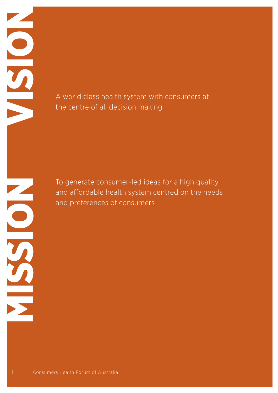A world class health system with consumers at<br>the centre of all decision making the centre of all decision making

To generate consumer-led ideas for a high quality<br>and affordable health system centred on the need<br>and preferences of consumers<br>of Consumers<br>of Australia<br>and Consumers Health Forum of Australia and affordable health system centred on the needs and preferences of consumers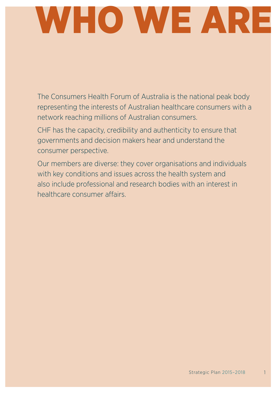# WHO WE ARE

The Consumers Health Forum of Australia is the national peak body representing the interests of Australian healthcare consumers with a network reaching millions of Australian consumers.

CHF has the capacity, credibility and authenticity to ensure that governments and decision makers hear and understand the consumer perspective.

Our members are diverse: they cover organisations and individuals with key conditions and issues across the health system and also include professional and research bodies with an interest in healthcare consumer affairs.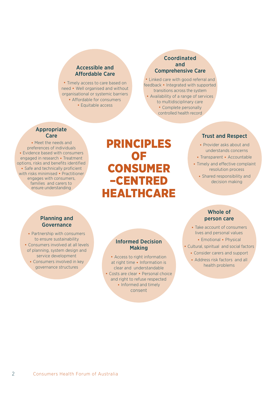#### Accessible and Affordable Care

• Timely access to care based on need • Well organised and without organisational or systemic barriers • Affordable for consumers • Equitable access

#### Coordinated and Comprehensive Care

• Linked care with good referral and feedback • Integrated with supported transitions across the system • Availability of a range of services to multidisciplinary care • Complete personally controlled health record

#### Appropriate Care

• Meet the needs and preferences of individuals • Evidence based with consumers engaged in research • Treatment options, risks and benefits identified • Safe and technically proficient with risks minimised • Practitioner engages with consumers, families and carers to ensure understanding

## **PRINCIPLES** of  $\overline{\mathsf{O}}$  for  $\overline{\mathsf{O}}$ **CONSUME** –Centred **HEALTHCARE**

### Trust and Respect

- Provider asks about and understands concerns
- Transparent Accountable
- Timely and effective complaint resolution process
	- Shared responsibility and decision making

#### Planning and Governance

• Partnership with consumers to ensure sustainability • Consumers involved at all levels of planning, system design and service development • Consumers involved in key governance structures

#### Informed Decision Making

• Access to right information at right time • Information is clear and understandable • Costs are clear • Personal choice and right to refuse respected • Informed and timely consent

#### Whole of person care

- Take account of consumers lives and personal values
	- Emotional Physical
- Cultural, spiritual and social factors
	- Consider carers and support
	- Address risk factors and all health problems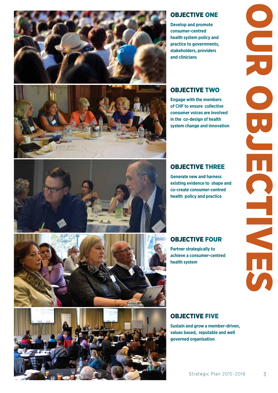

### OBJECTIVE ONE

**Develop and promote consumer-centred health system policy and practice to governments, stakeholders, providers and clinicians**

### OBJECTIVE TWO

**Engage with the members of CHF to ensure collective consumer voices are involved in the co-design of health system change and innovation** 





### OBJECTIVE THREE

**Generate new and harness existing evidence to shape and co-create consumer-centred health policy and practice** 

OBJECTIVE FOUR

**Partner strategically to achieve a consumer-centred health system** 



**Sustain and grow a member-driven, values based, reputable and well governed organisation**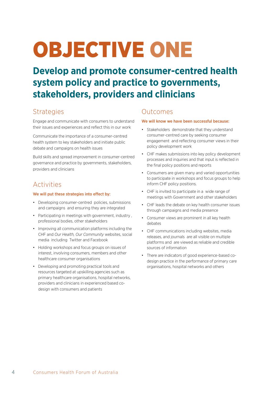## OBJECTIVE ONE

## **Develop and promote consumer-centred health system policy and practice to governments, stakeholders, providers and clinicians**

## **Strategies**

Engage and communicate with consumers to understand their issues and experiences and reflect this in our work

Communicate the importance of a consumer-centred health system to key stakeholders and initiate public debate and campaigns on health issues

Build skills and spread improvement in consumer-centred governance and practice by governments, stakeholders, providers and clinicians

## Activities

#### We will put these strategies into effect by:

- Developing consumer-centred policies, submissions and campaigns and ensuring they are integrated
- Participating in meetings with government, industry , professional bodies, other stakeholders
- Improving all communication platforms including the CHF and *Our Health, Our Community* websites, social media including Twitter and Facebook
- Holding workshops and focus groups on issues of interest, involving consumers, members and other healthcare consumer organisations
- Developing and promoting practical tools and resources targeted at upskilling agencies such as primary healthcare organisations, hospital networks, providers and clinicians in experienced based codesign with consumers and patients

## Outcomes

- Stakeholders demonstrate that they understand consumer-centred care by seeking consumer engagement and reflecting consumer views in their policy development work
- CHF makes submissions into key policy development processes and inquiries and that input is reflected in the final policy positions and reports
- Consumers are given many and varied opportunities to participate in workshops and focus groups to help inform CHF policy positions.
- CHF is invited to participate in a wide range of meetings with Government and other stakeholders
- CHF leads the debate on key health consumer issues through campaigns and media presence
- Consumer views are prominent in all key health debates
- CHF communications including websites, media releases, and journals are all visible on multiple platforms and are viewed as reliable and credible sources of information
- There are indicators of good experience-based codesign practice in the performance of primary care organisations, hospital networks and others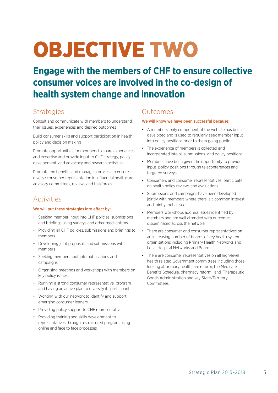## OBJECTIVE TWO

**Engage with the members of CHF to ensure collective consumer voices are involved in the co-design of health system change and innovation** 

## **Strategies**

Consult and communicate with members to understand their issues, experiences and desired outcomes

Build consumer skills and support participation in health policy and decision making

Promote opportunities for members to share experiences and expertise and provide input to CHF strategy, policy development, and advocacy and research activities

Promote the benefits and manage a process to ensure diverse consumer representation in influential healthcare advisory committees, reviews and taskforces

## Activities

#### We will put these strategies into effect by:

- Seeking member input into CHF policies, submissions and briefings using surveys and other mechanisms
- Providing all CHF policies, submissions and briefings to members
- Developing joint proposals and submissions with members
- Seeking member input into publications and campaigns
- Organising meetings and workshops with members on key policy issues
- Running a strong consumer representative program and having an active plan to diversify its participants
- Working with our network to identify and support emerging consumer leaders
- Providing policy support to CHF representatives
- Providing training and skills development to representatives through a structured program using online and face to face processes

## Outcomes

- A members' only component of the website has been developed and is used to regularly seek member input into policy positions prior to them going public
- The experience of members is collected and incorporated into all submissions and policy positions
- Members have been given the opportunity to provide input policy positions through teleconferences and targeted surveys
- Consumers and consumer representatives participate on health policy reviews and evaluations
- Submissions and campaigns have been developed jointly with members where there is a common interest and jointly publicised
- Members workshops address issues identified by members and are well attended with outcomes disseminated across the network
- There are consumer and consumer representatives on an increasing number of boards of key health system organisations including Primary Health Networks and Local Hospital Networks and Boards
- There are consumer representatives on all high-level health related Government committees including those looking at primary healthcare reform, the Medicare Benefits Schedule, pharmacy reform, and Therapeutic Goods Administration and key State/Territory Committees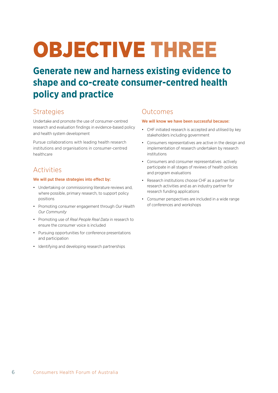## OBJECTIVE THREE

## **Generate new and harness existing evidence to shape and co-create consumer-centred health policy and practice**

## **Strategies**

Undertake and promote the use of consumer-centred research and evaluation findings in evidence-based policy and health system development

Pursue collaborations with leading health research institutions and organisations in consumer-centred healthcare

## Activities

#### We will put these strategies into effect by:

- Undertaking or commissioning literature reviews and where possible, primary research, to support policy positions
- Promoting consumer engagement through *Our Health Our Community*
- Promoting use of *Real People Real Data* in research to ensure the consumer voice is included
- Pursuing opportunities for conference presentations and participation
- Identifying and developing research partnerships

## Outcomes

- CHF initiated research is accepted and utilised by key stakeholders including government
- Consumers representatives are active in the design and implementation of research undertaken by research institutions
- Consumers and consumer representatives actively participate in all stages of reviews of health policies and program evaluations
- Research institutions choose CHF as a partner for research activities and as an industry partner for research funding applications
- Consumer perspectives are included in a wide range of conferences and workshops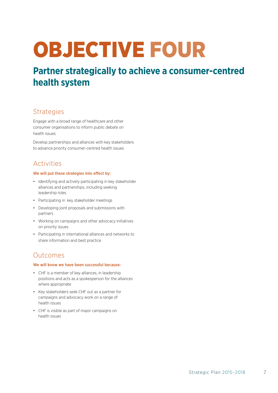## OBJECTIVE FOUR

## **Partner strategically to achieve a consumer-centred health system**

## **Strategies**

Engage with a broad range of healthcare and other consumer organisations to inform public debate on health issues

Develop partnerships and alliances with key stakeholders to advance priority consumer-centred health issues

## Activities

#### We will put these strategies into effect by:

- Identifying and actively participating in key stakeholder alliances and partnerships, including seeking leadership roles
- Participating in key stakeholder meetings
- Developing joint proposals and submissions with partners
- Working on campaigns and other advocacy initiatives on priority issues
- Participating in international alliances and networks to share information and best practice

### Outcomes

- CHF is a member of key alliances, in leadership positions and acts as a spokesperson for the alliances where appropriate
- Key stakeholders seek CHF out as a partner for campaigns and advocacy work on a range of health issues
- CHF is visible as part of major campaigns on health issues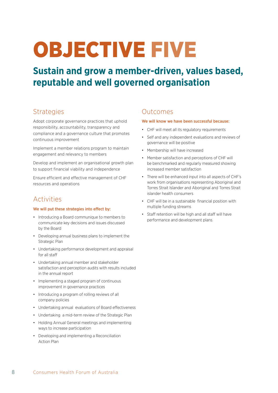## OBJECTIVE FIVE

## **Sustain and grow a member-driven, values based, reputable and well governed organisation**

## **Strategies**

Adopt corporate governance practices that uphold responsibility, accountability, transparency and compliance and a governance culture that promotes continuous improvement

Implement a member relations program to maintain engagement and relevancy to members

Develop and implement an organisational growth plan to support financial viability and independence

Ensure efficient and effective management of CHF resources and operations

## Activities

#### We will put these strategies into effect by:

- Introducing a Board communique to members to communicate key decisions and issues discussed by the Board
- Developing annual business plans to implement the Strategic Plan
- Undertaking performance development and appraisal for all staff
- Undertaking annual member and stakeholder satisfaction and perception audits with results included in the annual report
- Implementing a staged program of continuous improvement in governance practices
- Introducing a program of rolling reviews of all company policies
- Undertaking annual evaluations of Board effectiveness
- Undertaking a mid-term review of the Strategic Plan
- Holding Annual General meetings and implementing ways to increase participation
- Developing and implementing a Reconciliation Action Plan

## Outcomes

- CHF will meet all its regulatory requirements
- Self and any independent evaluations and reviews of governance will be positive
- Membership will have increased
- Member satisfaction and perceptions of CHF will be benchmarked and regularly measured showing increased member satisfaction
- There will be enhanced input into all aspects of CHF's work from organisations representing Aboriginal and Torres Strait Islander and Aboriginal and Torres Strait islander health consumers
- CHF will be in a sustainable financial position with multiple funding streams
- Staff retention will be high and all staff will have performance and development plans